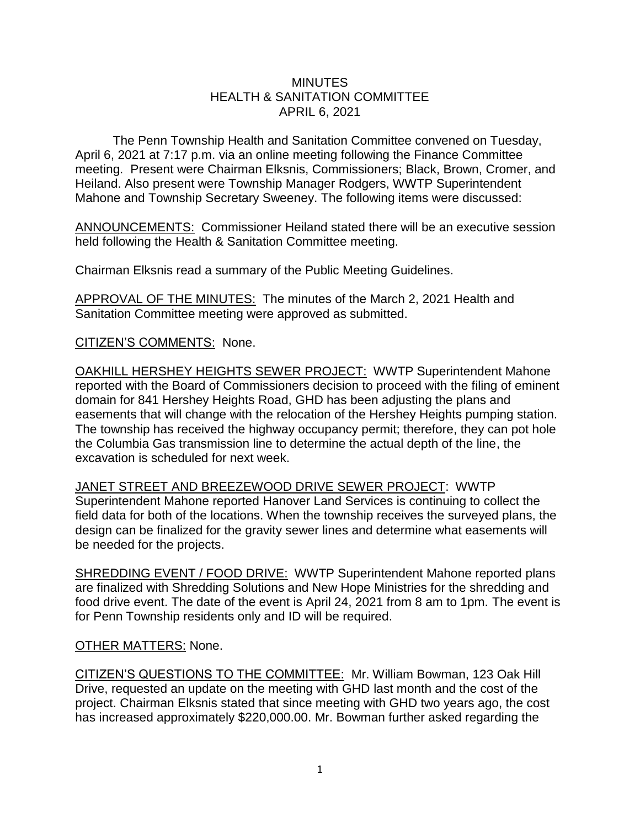## **MINUTES** HEALTH & SANITATION COMMITTEE APRIL 6, 2021

The Penn Township Health and Sanitation Committee convened on Tuesday, April 6, 2021 at 7:17 p.m. via an online meeting following the Finance Committee meeting. Present were Chairman Elksnis, Commissioners; Black, Brown, Cromer, and Heiland. Also present were Township Manager Rodgers, WWTP Superintendent Mahone and Township Secretary Sweeney. The following items were discussed:

ANNOUNCEMENTS: Commissioner Heiland stated there will be an executive session held following the Health & Sanitation Committee meeting.

Chairman Elksnis read a summary of the Public Meeting Guidelines.

APPROVAL OF THE MINUTES: The minutes of the March 2, 2021 Health and Sanitation Committee meeting were approved as submitted.

CITIZEN'S COMMENTS: None.

OAKHILL HERSHEY HEIGHTS SEWER PROJECT: WWTP Superintendent Mahone reported with the Board of Commissioners decision to proceed with the filing of eminent domain for 841 Hershey Heights Road, GHD has been adjusting the plans and easements that will change with the relocation of the Hershey Heights pumping station. The township has received the highway occupancy permit; therefore, they can pot hole the Columbia Gas transmission line to determine the actual depth of the line, the excavation is scheduled for next week.

JANET STREET AND BREEZEWOOD DRIVE SEWER PROJECT: WWTP Superintendent Mahone reported Hanover Land Services is continuing to collect the field data for both of the locations. When the township receives the surveyed plans, the design can be finalized for the gravity sewer lines and determine what easements will be needed for the projects.

SHREDDING EVENT / FOOD DRIVE: WWTP Superintendent Mahone reported plans are finalized with Shredding Solutions and New Hope Ministries for the shredding and food drive event. The date of the event is April 24, 2021 from 8 am to 1pm. The event is for Penn Township residents only and ID will be required.

OTHER MATTERS: None.

CITIZEN'S QUESTIONS TO THE COMMITTEE: Mr. William Bowman, 123 Oak Hill Drive, requested an update on the meeting with GHD last month and the cost of the project. Chairman Elksnis stated that since meeting with GHD two years ago, the cost has increased approximately \$220,000.00. Mr. Bowman further asked regarding the